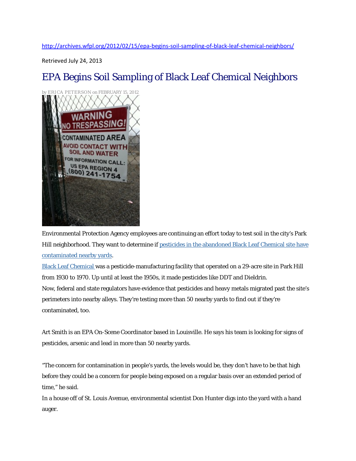<http://archives.wfpl.org/2012/02/15/epa-begins-soil-sampling-of-black-leaf-chemical-neighbors/>

Retrieved July 24, 2013

## EPA Begins Soil Sampling of Black Leaf Chemical Neighbors



Environmental Protection Agency employees are continuing an effort today to test soil in the city's Park Hill neighborhood. They want to determine if [pesticides in the abandoned Black Leaf Chemical site have](http://archives.wfpl.org/2011/11/10/epa-briefs-park-hill-residents-on-black-leaf-chemical-contamination/)  [contaminated nearby yards.](http://archives.wfpl.org/2011/11/10/epa-briefs-park-hill-residents-on-black-leaf-chemical-contamination/)

[Black Leaf Chemical](http://www.epaosc.org/site/site_profile.aspx?site_id=7247) was a pesticide-manufacturing facility that operated on a 29-acre site in Park Hill from 1930 to 1970. Up until at least the 1950s, it made pesticides like DDT and Dieldrin. Now, federal and state regulators have evidence that pesticides and heavy metals migrated past the site's perimeters into nearby alleys. They're testing more than 50 nearby yards to find out if they're contaminated, too.

Art Smith is an EPA On-Scene Coordinator based in Louisville. He says his team is looking for signs of pesticides, arsenic and lead in more than 50 nearby yards.

"The concern for contamination in people's yards, the levels would be, they don't have to be that high before they could be a concern for people being exposed on a regular basis over an extended period of time," he said.

In a house off of St. Louis Avenue, environmental scientist Don Hunter digs into the yard with a hand auger.